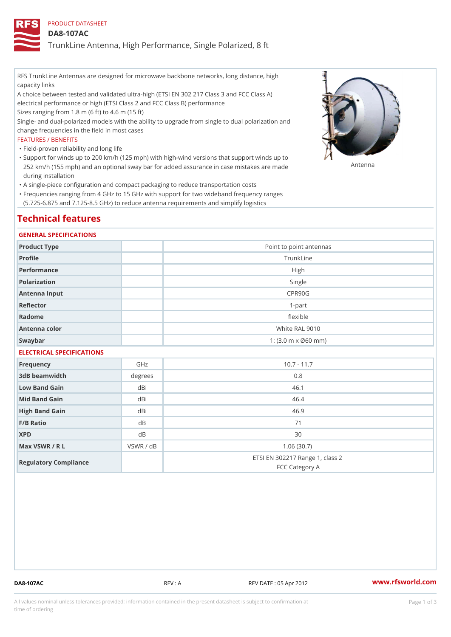## PRODUCT DATASHEET

### DA8-107AC

TrunkLine Antenna, High Performance, Single Polarized, 8 ft

RFS TrunkLine Antennas are designed for microwave backbone networks, long distance, high capacity links

A choice between tested and validated ultra-high (ETSI EN 302 217 Class 3 and FCC Class A) electrical performance or high (ETSI Class 2 and FCC Class B) performance

Sizes ranging from 1.8 m (6 ft) to 4.6 m (15 ft)

Single- and dual-polarized models with the ability to upgrade from single to dual polarization and change frequencies in the field in most cases

#### FEATURES / BENEFITS

"Field-proven reliability and long life

- Support for winds up to 200 km/h (125 mph) with high-wind versions that support winds up to " 252 km/h (155 mph) and an optional sway bar for added assurance in case m S # \$ R & B are made during installation
- "A single-piece configuration and compact packaging to reduce transportation costs
- Frequencies ranging from 4 GHz to 15 GHz with support for two wideband frequency ranges " (5.725-6.875 and 7.125-8.5 GHz) to reduce antenna requirements and simplify logistics

## Technical features

#### GENERAL SPECIFICATIONS

| Product Type               | Point to point antennas                                 |  |  |  |
|----------------------------|---------------------------------------------------------|--|--|--|
| Profile                    | TrunkLine                                               |  |  |  |
| Performance                | High                                                    |  |  |  |
| Polarization               | Single                                                  |  |  |  |
| Antenna Input              | CPR90G                                                  |  |  |  |
| Reflector                  | $1-part$                                                |  |  |  |
| Radome                     | flexible                                                |  |  |  |
| Antenna color              | White RAL 9010                                          |  |  |  |
| Swaybar                    | 1: $(3.0 \, \text{m} \times \emptyset 60 \, \text{mm})$ |  |  |  |
| -------------------------- |                                                         |  |  |  |

#### ELECTRICAL SPECIFICATIONS

| Frequency             | GHz       | $10.7 - 11.7$                                     |
|-----------------------|-----------|---------------------------------------------------|
| 3dB beamwidth         | degrees   | 0.8                                               |
| Low Band Gain         | dBi       | 46.1                                              |
| Mid Band Gain         | dBi       | 46.4                                              |
| High Band Gain        | dBi       | 46.9                                              |
| $F/B$ Ratio           | d B       | 71                                                |
| <b>XPD</b>            | d B       | 30                                                |
| Max VSWR / R L        | VSWR / dB | 1.06(30.7)                                        |
| Regulatory Compliance |           | ETSI EN 302217 Range 1, class 2<br>FCC Category A |

DA8-107AC REV : A REV DATE : 05 Apr 2012 [www.](https://www.rfsworld.com)rfsworld.com

All values nominal unless tolerances provided; information contained in the present datasheet is subject to Pcapgeign mation time of ordering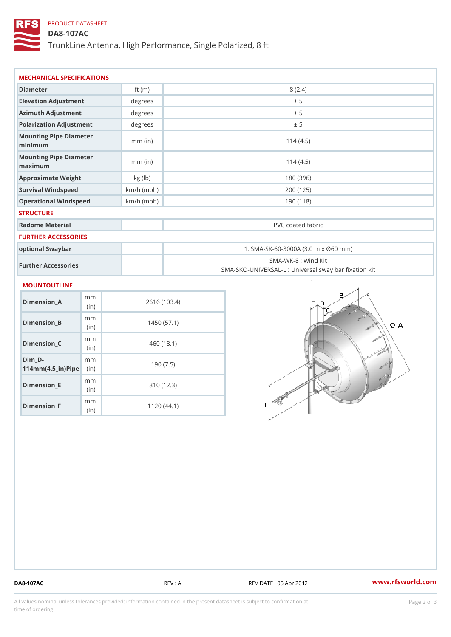# PRODUCT DATASHEET

DA8-107AC

TrunkLine Antenna, High Performance, Single Polarized, 8 ft

| MECHANICAL SPECIFICATIONS                                            |              |                                                                          |  |
|----------------------------------------------------------------------|--------------|--------------------------------------------------------------------------|--|
| Diameter                                                             | ft $(m)$     | 8(2.4)                                                                   |  |
| Elevation Adjustment                                                 | degrees      | ± 5                                                                      |  |
| Azimuth Adjustment                                                   | degrees      | ± 5                                                                      |  |
| Polarization Adjustment                                              | degrees      | ± 5                                                                      |  |
| Mounting Pipe Diameter<br>minimum                                    | $mm$ (in)    | 114(4.5)                                                                 |  |
| Mounting Pipe Diameter<br>maximum                                    | $mm$ (in)    | 114(4.5)                                                                 |  |
| Approximate Weight                                                   | kg (lb)      | 180 (396)                                                                |  |
| Survival Windspeed                                                   | $km/h$ (mph) | 200 (125)                                                                |  |
| Operational Windspeed                                                | $km/h$ (mph) | 190 (118)                                                                |  |
| <b>STRUCTURE</b>                                                     |              |                                                                          |  |
| Radome Material                                                      |              | PVC coated fabric                                                        |  |
| FURTHER ACCESSORIES                                                  |              |                                                                          |  |
| optional Swaybar                                                     |              | 1: SMA-SK-60-3000A (3.0 m x Ø60 mm)                                      |  |
| Further Accessories                                                  |              | SMA-WK-8 : Wind Kit<br>SMA-SKO-UNIVERSAL-L : Universal sway bar fixation |  |
| <b>MOUNTOUTLINE</b>                                                  |              |                                                                          |  |
| m m<br>$Dimension_A$<br>(in)                                         |              | 2616 (103.4)                                                             |  |
| m m<br>Dimension_B<br>(in)                                           |              | 1450(57.1)                                                               |  |
| m m<br>Dimension_C<br>(in)                                           |              | 460(18.1)                                                                |  |
| $Dim_D - D -$<br>m m<br>$114$ m m (4.5 _ ir ) $\sqrt{$ imp $\approx$ |              | 190(7.5)                                                                 |  |

Dimension\_E

Dimension\_F

mm (in)

m<sub>m</sub> (in)

310 (12.3)

1120 (44.1)

DA8-107AC REV : A REV DATE : 05 Apr 2012 [www.](https://www.rfsworld.com)rfsworld.com